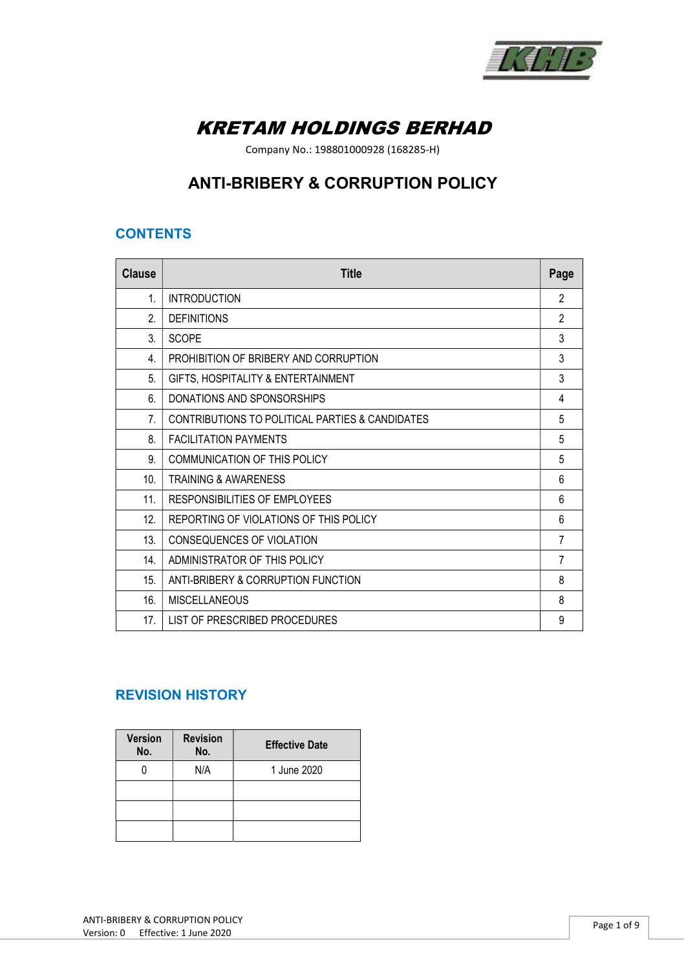

# KRETAM HOLDINGS BERHAD

Company No.: 198801000928 (168285-H)

## ANTI-BRIBERY & CORRUPTION POLICY

## **CONTENTS**

| <b>Clause</b>   | <b>Title</b>                                    | Page           |
|-----------------|-------------------------------------------------|----------------|
| $\mathbf{1}$ .  | <b>INTRODUCTION</b>                             | 2              |
| $\mathfrak{D}$  | <b>DEFINITIONS</b>                              | $\mathfrak{p}$ |
| 3.              | <b>SCOPE</b>                                    | 3              |
| 4.              | PROHIBITION OF BRIBERY AND CORRUPTION           | 3              |
| 5.              | GIFTS, HOSPITALITY & ENTERTAINMENT              | 3              |
| 6.              | DONATIONS AND SPONSORSHIPS                      | 4              |
| 7.              | CONTRIBUTIONS TO POLITICAL PARTIES & CANDIDATES | 5              |
| 8.              | <b>FACILITATION PAYMENTS</b>                    | 5              |
| 9.              | <b>COMMUNICATION OF THIS POLICY</b>             | 5              |
| 10 <sub>1</sub> | TRAINING & AWARENESS                            | 6              |
| 11.             | RESPONSIBILITIES OF EMPLOYEES                   | 6              |
| 12.             | REPORTING OF VIOLATIONS OF THIS POLICY          | 6              |
| 13.             | CONSEQUENCES OF VIOLATION                       | 7              |
| 14 <sub>1</sub> | ADMINISTRATOR OF THIS POLICY                    | 7              |
| 15.             | ANTI-BRIBERY & CORRUPTION FUNCTION              | 8              |
| 16.             | <b>MISCELLANEOUS</b>                            | 8              |
| 17.             | LIST OF PRESCRIBED PROCEDURES                   | 9              |

## REVISION HISTORY

| <b>Version</b><br>No. | <b>Revision</b><br>No. | <b>Effective Date</b> |
|-----------------------|------------------------|-----------------------|
|                       | N/A                    | 1 June 2020           |
|                       |                        |                       |
|                       |                        |                       |
|                       |                        |                       |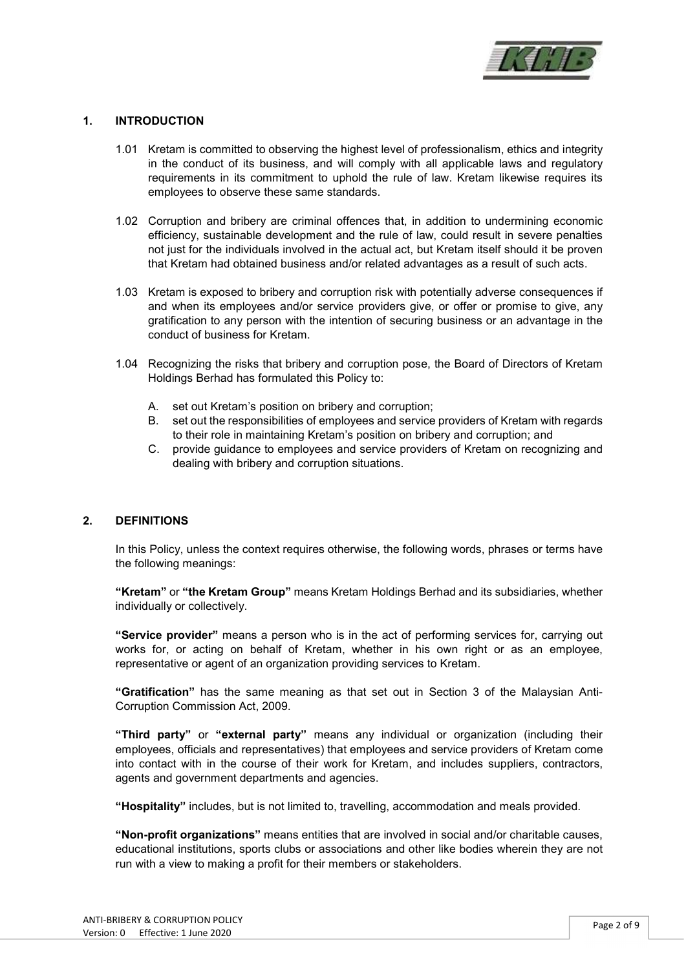

#### 1. INTRODUCTION

- 1.01 Kretam is committed to observing the highest level of professionalism, ethics and integrity in the conduct of its business, and will comply with all applicable laws and regulatory requirements in its commitment to uphold the rule of law. Kretam likewise requires its employees to observe these same standards.
- 1.02 Corruption and bribery are criminal offences that, in addition to undermining economic efficiency, sustainable development and the rule of law, could result in severe penalties not just for the individuals involved in the actual act, but Kretam itself should it be proven that Kretam had obtained business and/or related advantages as a result of such acts.
- 1.03 Kretam is exposed to bribery and corruption risk with potentially adverse consequences if and when its employees and/or service providers give, or offer or promise to give, any gratification to any person with the intention of securing business or an advantage in the conduct of business for Kretam.
- 1.04 Recognizing the risks that bribery and corruption pose, the Board of Directors of Kretam Holdings Berhad has formulated this Policy to:
	- A. set out Kretam's position on bribery and corruption;
	- B. set out the responsibilities of employees and service providers of Kretam with regards to their role in maintaining Kretam's position on bribery and corruption; and
	- C. provide guidance to employees and service providers of Kretam on recognizing and dealing with bribery and corruption situations.

#### 2. DEFINITIONS

In this Policy, unless the context requires otherwise, the following words, phrases or terms have the following meanings:

"Kretam" or "the Kretam Group" means Kretam Holdings Berhad and its subsidiaries, whether individually or collectively.

"Service provider" means a person who is in the act of performing services for, carrying out works for, or acting on behalf of Kretam, whether in his own right or as an employee, representative or agent of an organization providing services to Kretam.

"Gratification" has the same meaning as that set out in Section 3 of the Malaysian Anti-Corruption Commission Act, 2009.

"Third party" or "external party" means any individual or organization (including their employees, officials and representatives) that employees and service providers of Kretam come into contact with in the course of their work for Kretam, and includes suppliers, contractors, agents and government departments and agencies.

"Hospitality" includes, but is not limited to, travelling, accommodation and meals provided.

"Non-profit organizations" means entities that are involved in social and/or charitable causes, educational institutions, sports clubs or associations and other like bodies wherein they are not run with a view to making a profit for their members or stakeholders.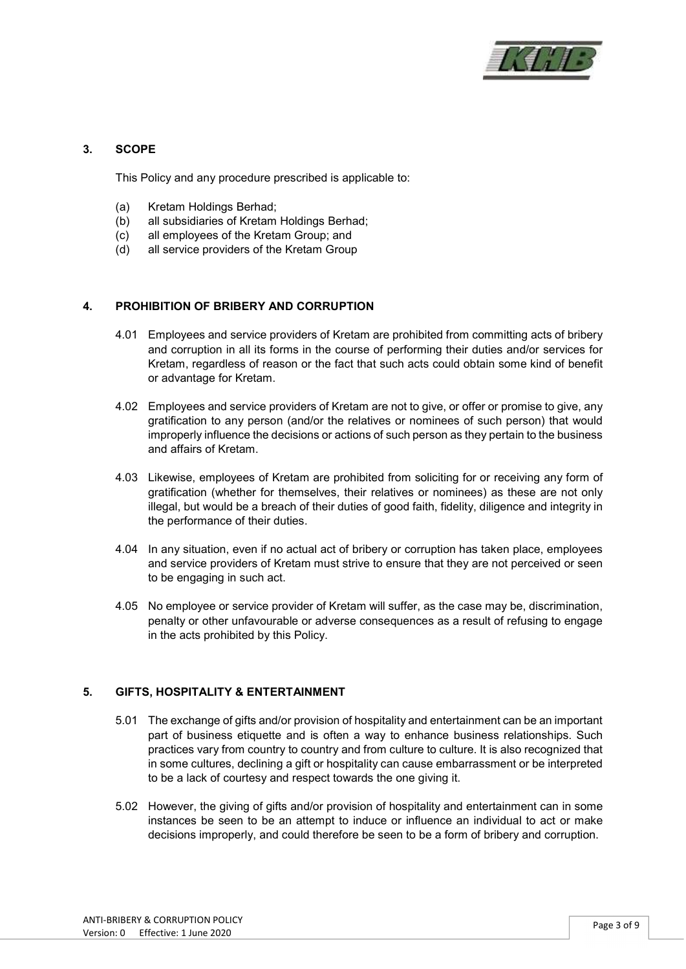

#### 3. SCOPE

This Policy and any procedure prescribed is applicable to:

- (a) Kretam Holdings Berhad;
- (b) all subsidiaries of Kretam Holdings Berhad;
- (c) all employees of the Kretam Group; and
- (d) all service providers of the Kretam Group

#### 4. PROHIBITION OF BRIBERY AND CORRUPTION

- 4.01 Employees and service providers of Kretam are prohibited from committing acts of bribery and corruption in all its forms in the course of performing their duties and/or services for Kretam, regardless of reason or the fact that such acts could obtain some kind of benefit or advantage for Kretam.
- 4.02 Employees and service providers of Kretam are not to give, or offer or promise to give, any gratification to any person (and/or the relatives or nominees of such person) that would improperly influence the decisions or actions of such person as they pertain to the business and affairs of Kretam.
- 4.03 Likewise, employees of Kretam are prohibited from soliciting for or receiving any form of gratification (whether for themselves, their relatives or nominees) as these are not only illegal, but would be a breach of their duties of good faith, fidelity, diligence and integrity in the performance of their duties.
- 4.04 In any situation, even if no actual act of bribery or corruption has taken place, employees and service providers of Kretam must strive to ensure that they are not perceived or seen to be engaging in such act.
- 4.05 No employee or service provider of Kretam will suffer, as the case may be, discrimination, penalty or other unfavourable or adverse consequences as a result of refusing to engage in the acts prohibited by this Policy.

#### 5. GIFTS, HOSPITALITY & ENTERTAINMENT

- 5.01 The exchange of gifts and/or provision of hospitality and entertainment can be an important part of business etiquette and is often a way to enhance business relationships. Such practices vary from country to country and from culture to culture. It is also recognized that in some cultures, declining a gift or hospitality can cause embarrassment or be interpreted to be a lack of courtesy and respect towards the one giving it.
- 5.02 However, the giving of gifts and/or provision of hospitality and entertainment can in some instances be seen to be an attempt to induce or influence an individual to act or make decisions improperly, and could therefore be seen to be a form of bribery and corruption.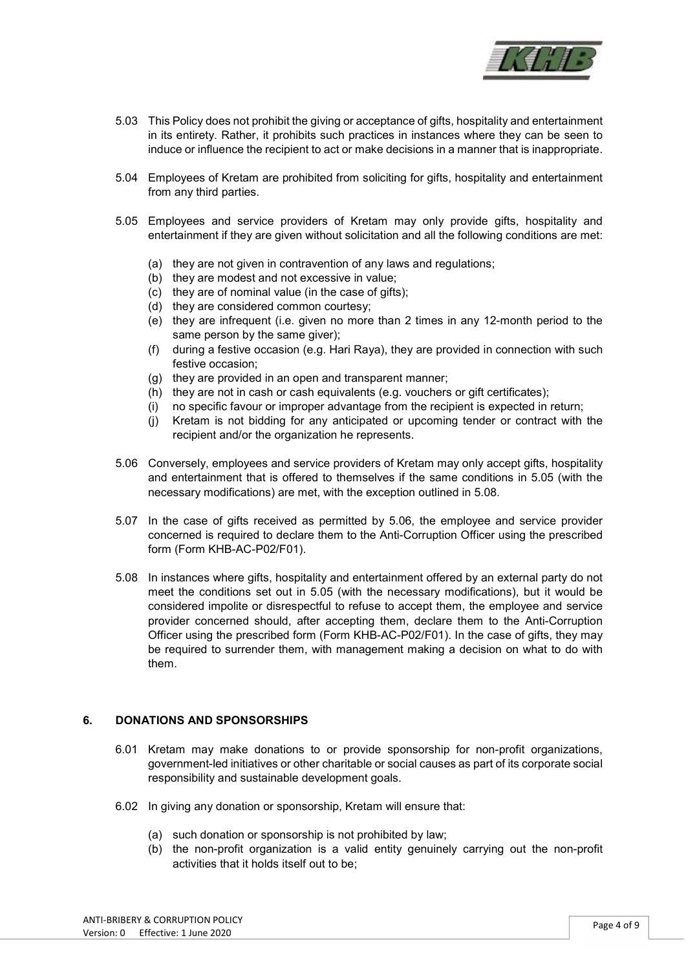

- 5.03 This Policy does not prohibit the giving or acceptance of gifts, hospitality and entertainment in its entirety. Rather, it prohibits such practices in instances where they can be seen to induce or influence the recipient to act or make decisions in a manner that is inappropriate.
- 5.04 Employees of Kretam are prohibited from soliciting for gifts, hospitality and entertainment from any third parties.
- 5.05 Employees and service providers of Kretam may only provide gifts, hospitality and entertainment if they are given without solicitation and all the following conditions are met:
	- (a) they are not given in contravention of any laws and regulations;
	- (b) they are modest and not excessive in value;
	- (c) they are of nominal value (in the case of gifts);
	- (d) they are considered common courtesy;
	- (e) they are infrequent (i.e. given no more than 2 times in any 12-month period to the same person by the same giver);
	- (f) during a festive occasion (e.g. Hari Raya), they are provided in connection with such festive occasion;
	- (g) they are provided in an open and transparent manner;
	- (h) they are not in cash or cash equivalents (e.g. vouchers or gift certificates);
	- (i) no specific favour or improper advantage from the recipient is expected in return;
	- (j) Kretam is not bidding for any anticipated or upcoming tender or contract with the recipient and/or the organization he represents.
- 5.06 Conversely, employees and service providers of Kretam may only accept gifts, hospitality and entertainment that is offered to themselves if the same conditions in 5.05 (with the necessary modifications) are met, with the exception outlined in 5.08.
- 5.07 In the case of gifts received as permitted by 5.06, the employee and service provider concerned is required to declare them to the Anti-Corruption Officer using the prescribed form (Form KHB-AC-P02/F01).
- 5.08 In instances where gifts, hospitality and entertainment offered by an external party do not meet the conditions set out in 5.05 (with the necessary modifications), but it would be considered impolite or disrespectful to refuse to accept them, the employee and service provider concerned should, after accepting them, declare them to the Anti-Corruption Officer using the prescribed form (Form KHB-AC-P02/F01). In the case of gifts, they may be required to surrender them, with management making a decision on what to do with them.

#### 6. DONATIONS AND SPONSORSHIPS

- 6.01 Kretam may make donations to or provide sponsorship for non-profit organizations, government-led initiatives or other charitable or social causes as part of its corporate social responsibility and sustainable development goals.
- 6.02 In giving any donation or sponsorship, Kretam will ensure that:
	- (a) such donation or sponsorship is not prohibited by law;
	- (b) the non-profit organization is a valid entity genuinely carrying out the non-profit activities that it holds itself out to be;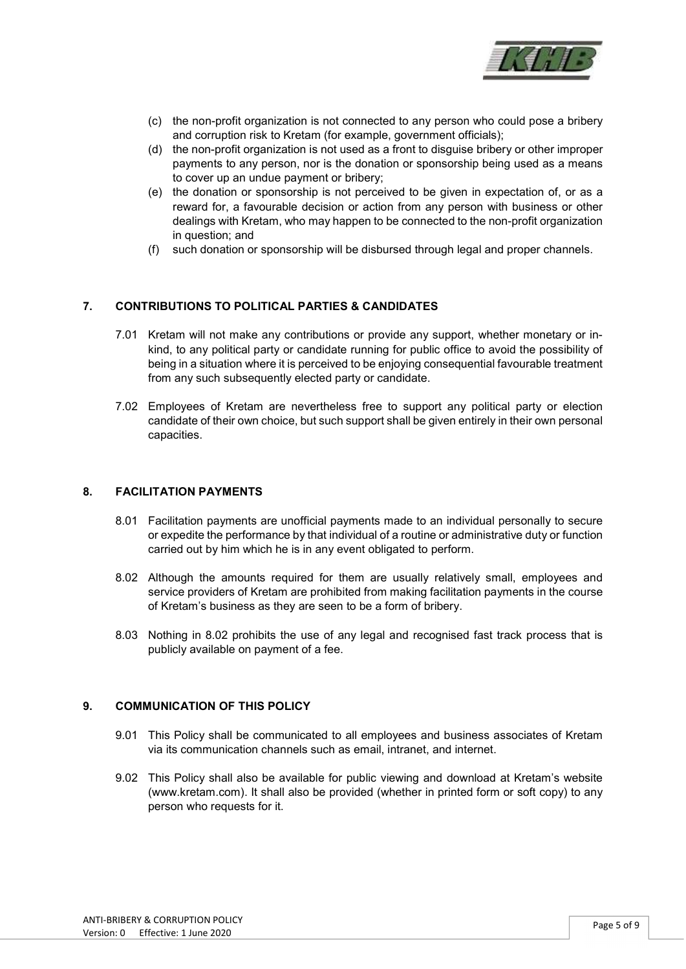

- (c) the non-profit organization is not connected to any person who could pose a bribery and corruption risk to Kretam (for example, government officials);
- (d) the non-profit organization is not used as a front to disguise bribery or other improper payments to any person, nor is the donation or sponsorship being used as a means to cover up an undue payment or bribery;
- (e) the donation or sponsorship is not perceived to be given in expectation of, or as a reward for, a favourable decision or action from any person with business or other dealings with Kretam, who may happen to be connected to the non-profit organization in question; and
- (f) such donation or sponsorship will be disbursed through legal and proper channels.

#### 7. CONTRIBUTIONS TO POLITICAL PARTIES & CANDIDATES

- 7.01 Kretam will not make any contributions or provide any support, whether monetary or inkind, to any political party or candidate running for public office to avoid the possibility of being in a situation where it is perceived to be enjoying consequential favourable treatment from any such subsequently elected party or candidate.
- 7.02 Employees of Kretam are nevertheless free to support any political party or election candidate of their own choice, but such support shall be given entirely in their own personal capacities.

#### 8. FACILITATION PAYMENTS

- 8.01 Facilitation payments are unofficial payments made to an individual personally to secure or expedite the performance by that individual of a routine or administrative duty or function carried out by him which he is in any event obligated to perform.
- 8.02 Although the amounts required for them are usually relatively small, employees and service providers of Kretam are prohibited from making facilitation payments in the course of Kretam's business as they are seen to be a form of bribery.
- 8.03 Nothing in 8.02 prohibits the use of any legal and recognised fast track process that is publicly available on payment of a fee.

#### 9. COMMUNICATION OF THIS POLICY

- 9.01 This Policy shall be communicated to all employees and business associates of Kretam via its communication channels such as email, intranet, and internet.
- 9.02 This Policy shall also be available for public viewing and download at Kretam's website (www.kretam.com). It shall also be provided (whether in printed form or soft copy) to any person who requests for it.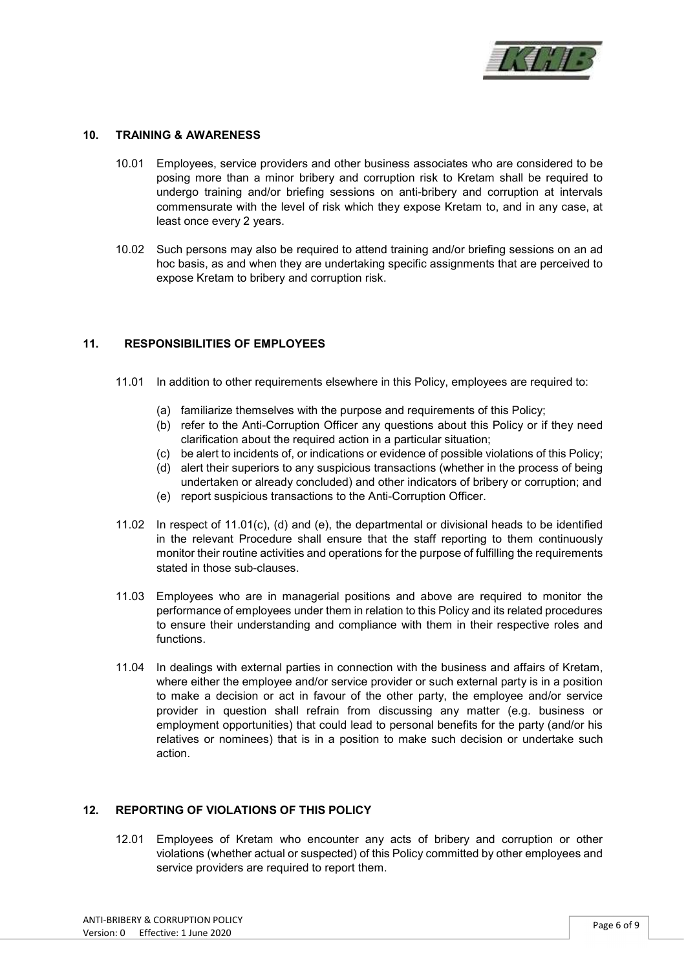

#### 10. TRAINING & AWARENESS

- 10.01 Employees, service providers and other business associates who are considered to be posing more than a minor bribery and corruption risk to Kretam shall be required to undergo training and/or briefing sessions on anti-bribery and corruption at intervals commensurate with the level of risk which they expose Kretam to, and in any case, at least once every 2 years.
- 10.02 Such persons may also be required to attend training and/or briefing sessions on an ad hoc basis, as and when they are undertaking specific assignments that are perceived to expose Kretam to bribery and corruption risk.

#### 11. RESPONSIBILITIES OF EMPLOYEES

- 11.01 In addition to other requirements elsewhere in this Policy, employees are required to:
	- (a) familiarize themselves with the purpose and requirements of this Policy;
	- (b) refer to the Anti-Corruption Officer any questions about this Policy or if they need clarification about the required action in a particular situation;
	- (c) be alert to incidents of, or indications or evidence of possible violations of this Policy;
	- (d) alert their superiors to any suspicious transactions (whether in the process of being undertaken or already concluded) and other indicators of bribery or corruption; and
	- (e) report suspicious transactions to the Anti-Corruption Officer.
- 11.02 In respect of 11.01(c), (d) and (e), the departmental or divisional heads to be identified in the relevant Procedure shall ensure that the staff reporting to them continuously monitor their routine activities and operations for the purpose of fulfilling the requirements stated in those sub-clauses.
- 11.03 Employees who are in managerial positions and above are required to monitor the performance of employees under them in relation to this Policy and its related procedures to ensure their understanding and compliance with them in their respective roles and functions.
- 11.04 In dealings with external parties in connection with the business and affairs of Kretam, where either the employee and/or service provider or such external party is in a position to make a decision or act in favour of the other party, the employee and/or service provider in question shall refrain from discussing any matter (e.g. business or employment opportunities) that could lead to personal benefits for the party (and/or his relatives or nominees) that is in a position to make such decision or undertake such action.

#### 12. REPORTING OF VIOLATIONS OF THIS POLICY

12.01 Employees of Kretam who encounter any acts of bribery and corruption or other violations (whether actual or suspected) of this Policy committed by other employees and service providers are required to report them.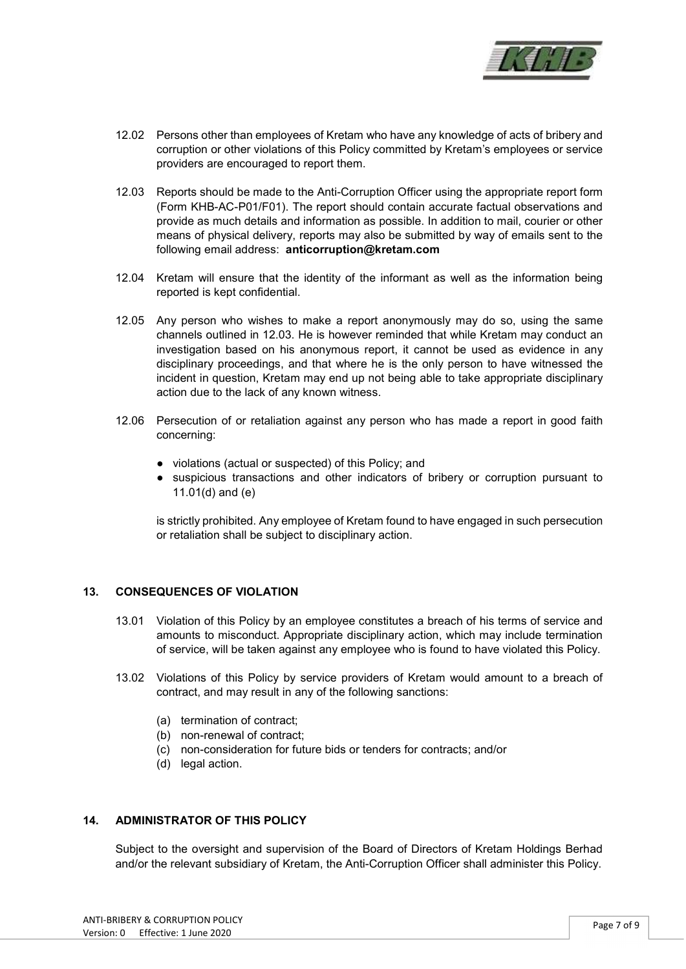

- 12.02 Persons other than employees of Kretam who have any knowledge of acts of bribery and corruption or other violations of this Policy committed by Kretam's employees or service providers are encouraged to report them.
- 12.03 Reports should be made to the Anti-Corruption Officer using the appropriate report form (Form KHB-AC-P01/F01). The report should contain accurate factual observations and provide as much details and information as possible. In addition to mail, courier or other means of physical delivery, reports may also be submitted by way of emails sent to the following email address: anticorruption@kretam.com
- 12.04 Kretam will ensure that the identity of the informant as well as the information being reported is kept confidential.
- 12.05 Any person who wishes to make a report anonymously may do so, using the same channels outlined in 12.03. He is however reminded that while Kretam may conduct an investigation based on his anonymous report, it cannot be used as evidence in any disciplinary proceedings, and that where he is the only person to have witnessed the incident in question, Kretam may end up not being able to take appropriate disciplinary action due to the lack of any known witness.
- 12.06 Persecution of or retaliation against any person who has made a report in good faith concerning:
	- violations (actual or suspected) of this Policy; and
	- suspicious transactions and other indicators of bribery or corruption pursuant to 11.01(d) and (e)

is strictly prohibited. Any employee of Kretam found to have engaged in such persecution or retaliation shall be subject to disciplinary action.

#### 13. CONSEQUENCES OF VIOLATION

- 13.01 Violation of this Policy by an employee constitutes a breach of his terms of service and amounts to misconduct. Appropriate disciplinary action, which may include termination of service, will be taken against any employee who is found to have violated this Policy.
- 13.02 Violations of this Policy by service providers of Kretam would amount to a breach of contract, and may result in any of the following sanctions:
	- (a) termination of contract;
	- (b) non-renewal of contract;
	- (c) non-consideration for future bids or tenders for contracts; and/or
	- (d) legal action.

#### 14. ADMINISTRATOR OF THIS POLICY

Subject to the oversight and supervision of the Board of Directors of Kretam Holdings Berhad and/or the relevant subsidiary of Kretam, the Anti-Corruption Officer shall administer this Policy.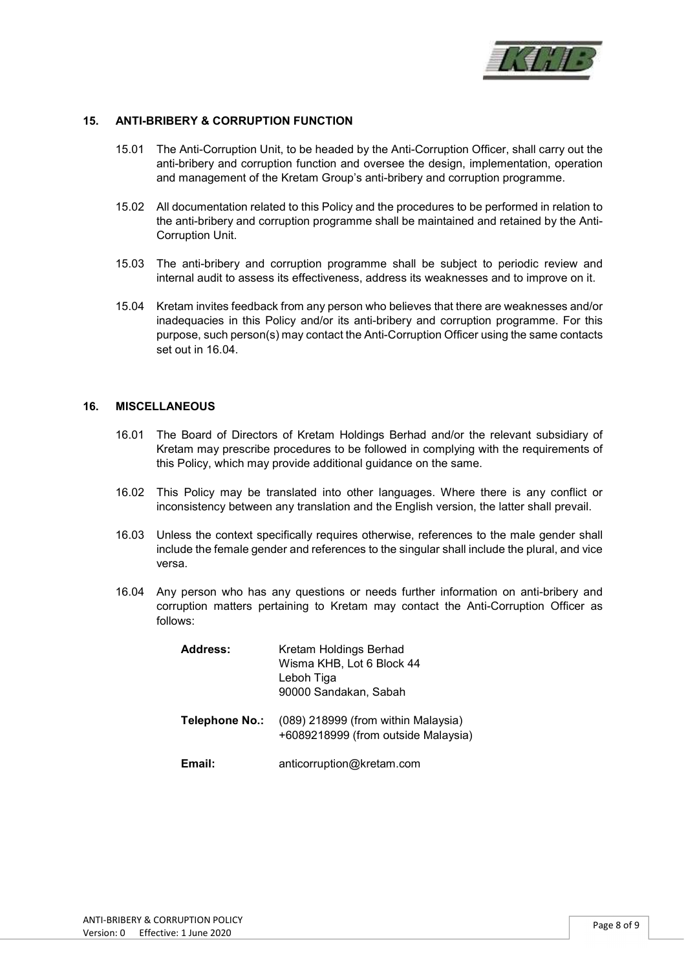

#### 15. ANTI-BRIBERY & CORRUPTION FUNCTION

- 15.01 The Anti-Corruption Unit, to be headed by the Anti-Corruption Officer, shall carry out the anti-bribery and corruption function and oversee the design, implementation, operation and management of the Kretam Group's anti-bribery and corruption programme.
- 15.02 All documentation related to this Policy and the procedures to be performed in relation to the anti-bribery and corruption programme shall be maintained and retained by the Anti-Corruption Unit.
- 15.03 The anti-bribery and corruption programme shall be subject to periodic review and internal audit to assess its effectiveness, address its weaknesses and to improve on it.
- 15.04 Kretam invites feedback from any person who believes that there are weaknesses and/or inadequacies in this Policy and/or its anti-bribery and corruption programme. For this purpose, such person(s) may contact the Anti-Corruption Officer using the same contacts set out in 16.04.

#### 16. MISCELLANEOUS

- 16.01 The Board of Directors of Kretam Holdings Berhad and/or the relevant subsidiary of Kretam may prescribe procedures to be followed in complying with the requirements of this Policy, which may provide additional guidance on the same.
- 16.02 This Policy may be translated into other languages. Where there is any conflict or inconsistency between any translation and the English version, the latter shall prevail.
- 16.03 Unless the context specifically requires otherwise, references to the male gender shall include the female gender and references to the singular shall include the plural, and vice versa.
- 16.04 Any person who has any questions or needs further information on anti-bribery and corruption matters pertaining to Kretam may contact the Anti-Corruption Officer as follows:

| <b>Address:</b> | Kretam Holdings Berhad<br>Wisma KHB, Lot 6 Block 44<br>Leboh Tiga<br>90000 Sandakan, Sabah |
|-----------------|--------------------------------------------------------------------------------------------|
| Telephone No.:  | (089) 218999 (from within Malaysia)<br>+6089218999 (from outside Malaysia)                 |
| Email:          | anticorruption@kretam.com                                                                  |